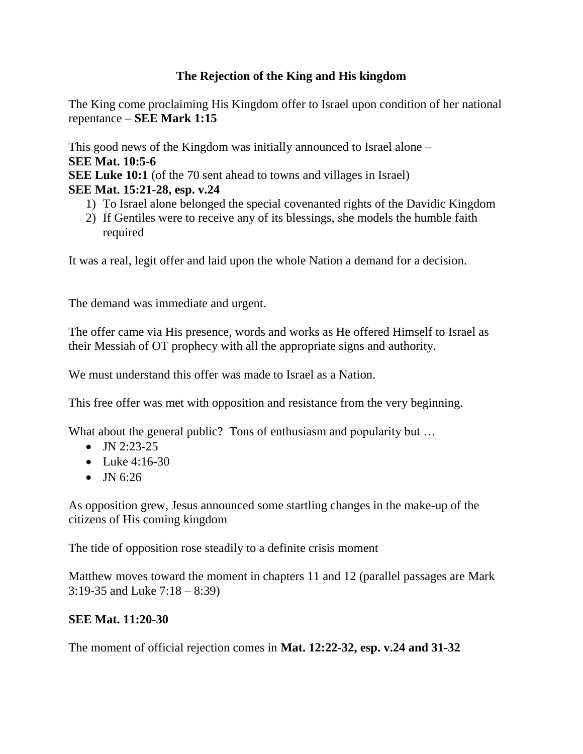## **The Rejection of the King and His kingdom**

The King come proclaiming His Kingdom offer to Israel upon condition of her national repentance – **SEE Mark 1:15**

This good news of the Kingdom was initially announced to Israel alone – **SEE Mat. 10:5-6 SEE Luke 10:1** (of the 70 sent ahead to towns and villages in Israel) **SEE Mat. 15:21-28, esp. v.24**

- 1) To Israel alone belonged the special covenanted rights of the Davidic Kingdom
- 2) If Gentiles were to receive any of its blessings, she models the humble faith required

It was a real, legit offer and laid upon the whole Nation a demand for a decision.

The demand was immediate and urgent.

The offer came via His presence, words and works as He offered Himself to Israel as their Messiah of OT prophecy with all the appropriate signs and authority.

We must understand this offer was made to Israel as a Nation.

This free offer was met with opposition and resistance from the very beginning.

What about the general public? Tons of enthusiasm and popularity but ...

- $\bullet$  JN 2:23-25
- Luke  $4:16-30$
- $\bullet$  JN 6:26

As opposition grew, Jesus announced some startling changes in the make-up of the citizens of His coming kingdom

The tide of opposition rose steadily to a definite crisis moment

Matthew moves toward the moment in chapters 11 and 12 (parallel passages are Mark 3:19-35 and Luke 7:18 – 8:39)

## **SEE Mat. 11:20-30**

The moment of official rejection comes in **Mat. 12:22-32, esp. v.24 and 31-32**